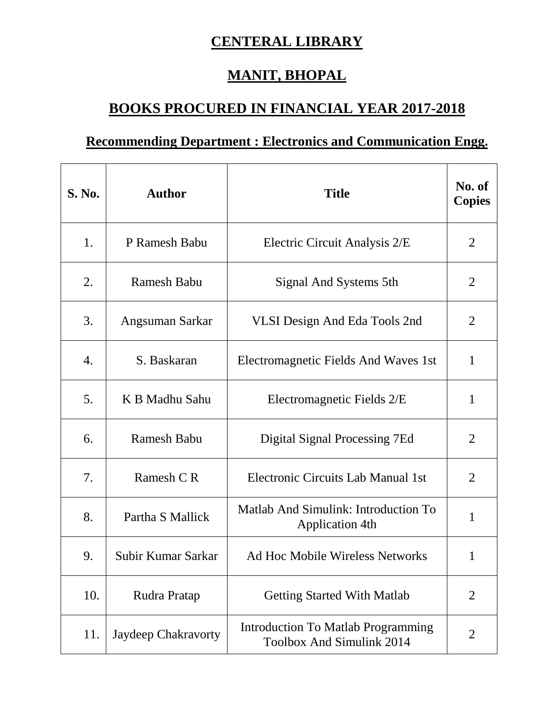## **CENTERAL LIBRARY**

## **MANIT, BHOPAL**

## **BOOKS PROCURED IN FINANCIAL YEAR 2017-2018**

## **Recommending Department : Electronics and Communication Engg.**

| S. No. | <b>Author</b>       | <b>Title</b>                                                           | No. of<br><b>Copies</b> |
|--------|---------------------|------------------------------------------------------------------------|-------------------------|
| 1.     | P Ramesh Babu       | Electric Circuit Analysis 2/E                                          | 2                       |
| 2.     | <b>Ramesh Babu</b>  | Signal And Systems 5th                                                 | $\overline{2}$          |
| 3.     | Angsuman Sarkar     | <b>VLSI Design And Eda Tools 2nd</b>                                   | $\overline{2}$          |
| 4.     | S. Baskaran         | Electromagnetic Fields And Waves 1st                                   | $\mathbf{1}$            |
| 5.     | K B Madhu Sahu      | Electromagnetic Fields 2/E                                             | 1                       |
| 6.     | <b>Ramesh Babu</b>  | Digital Signal Processing 7Ed                                          | $\overline{2}$          |
| 7.     | Ramesh C R          | Electronic Circuits Lab Manual 1st                                     | $\overline{2}$          |
| 8.     | Partha S Mallick    | Matlab And Simulink: Introduction To<br><b>Application 4th</b>         | 1                       |
| 9.     | Subir Kumar Sarkar  | Ad Hoc Mobile Wireless Networks                                        | 1                       |
| 10.    | Rudra Pratap        | <b>Getting Started With Matlab</b>                                     | 2                       |
| 11.    | Jaydeep Chakravorty | <b>Introduction To Matlab Programming</b><br>Toolbox And Simulink 2014 | $\overline{2}$          |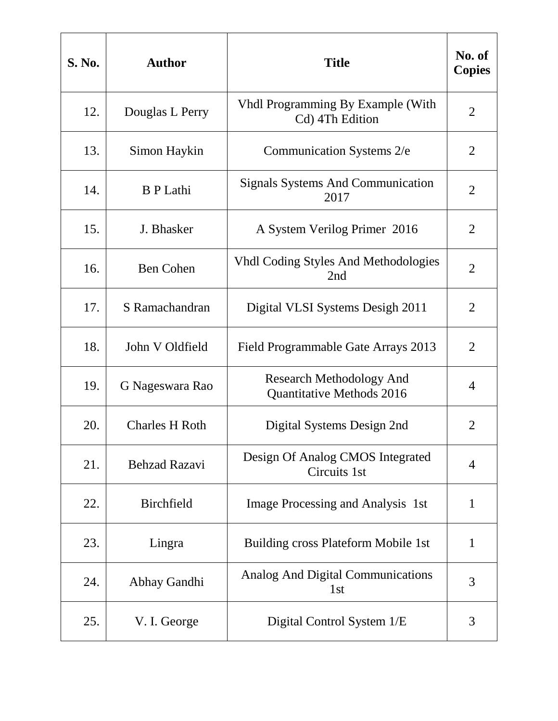| <b>S. No.</b> | <b>Author</b>         | <b>Title</b>                                                 | No. of<br><b>Copies</b> |
|---------------|-----------------------|--------------------------------------------------------------|-------------------------|
| 12.           | Douglas L Perry       | <b>Vhdl Programming By Example (With</b><br>Cd) 4Th Edition  | $\overline{2}$          |
| 13.           | Simon Haykin          | Communication Systems 2/e                                    | 2                       |
| 14.           | <b>B</b> P Lathi      | <b>Signals Systems And Communication</b><br>2017             | $\overline{2}$          |
| 15.           | J. Bhasker            | A System Verilog Primer 2016                                 | $\overline{2}$          |
| 16.           | <b>Ben Cohen</b>      | <b>Vhdl Coding Styles And Methodologies</b><br>2nd           | $\overline{2}$          |
| 17.           | S Ramachandran        | Digital VLSI Systems Desigh 2011                             | $\overline{2}$          |
| 18.           | John V Oldfield       | Field Programmable Gate Arrays 2013                          | $\overline{2}$          |
| 19.           | G Nageswara Rao       | <b>Research Methodology And</b><br>Quantitative Methods 2016 | $\overline{4}$          |
| 20.           | <b>Charles H Roth</b> | Digital Systems Design 2nd                                   | $\overline{2}$          |
| 21.           | <b>Behzad Razavi</b>  | Design Of Analog CMOS Integrated<br>Circuits 1st             | $\overline{4}$          |
| 22.           | <b>Birchfield</b>     | Image Processing and Analysis 1st                            | 1                       |
| 23.           | Lingra                | Building cross Plateform Mobile 1st                          | $\mathbf{1}$            |
| 24.           | Abhay Gandhi          | <b>Analog And Digital Communications</b><br>1 <sub>st</sub>  | 3                       |
| 25.           | V. I. George          | Digital Control System 1/E                                   | 3                       |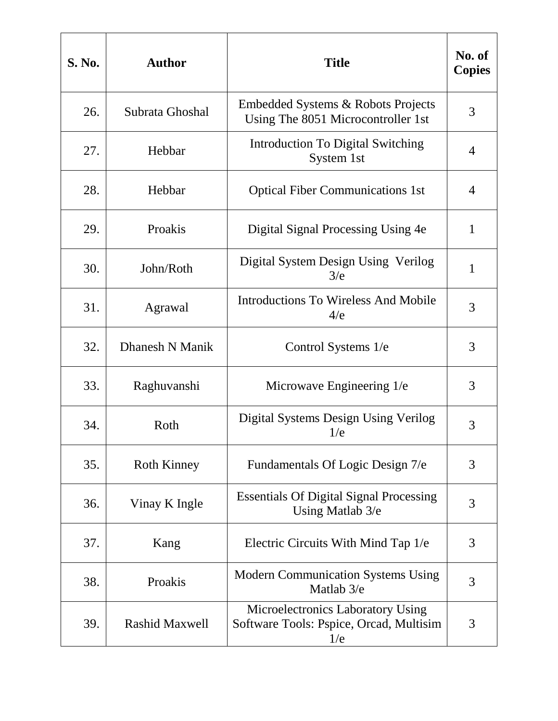| <b>S. No.</b> | <b>Author</b>         | <b>Title</b>                                                                        | No. of<br><b>Copies</b> |
|---------------|-----------------------|-------------------------------------------------------------------------------------|-------------------------|
| 26.           | Subrata Ghoshal       | Embedded Systems & Robots Projects<br>Using The 8051 Microcontroller 1st            | 3                       |
| 27.           | Hebbar                | Introduction To Digital Switching<br>System 1st                                     | 4                       |
| 28.           | Hebbar                | <b>Optical Fiber Communications 1st</b>                                             | 4                       |
| 29.           | Proakis               | Digital Signal Processing Using 4e                                                  | $\mathbf{1}$            |
| 30.           | John/Roth             | Digital System Design Using Verilog<br>3/e                                          | $\mathbf{1}$            |
| 31.           | Agrawal               | <b>Introductions To Wireless And Mobile</b><br>4/e                                  | 3                       |
| 32.           | Dhanesh N Manik       | Control Systems 1/e                                                                 | 3                       |
| 33.           | Raghuvanshi           | Microwave Engineering 1/e                                                           | 3                       |
| 34.           | Roth                  | Digital Systems Design Using Verilog<br>1/e                                         | 3                       |
| 35.           | <b>Roth Kinney</b>    | Fundamentals Of Logic Design 7/e                                                    | 3                       |
| 36.           | Vinay K Ingle         | <b>Essentials Of Digital Signal Processing</b><br>Using Matlab 3/e                  | 3                       |
| 37.           | Kang                  | Electric Circuits With Mind Tap 1/e                                                 | 3                       |
| 38.           | Proakis               | Modern Communication Systems Using<br>Matlab 3/e                                    | 3                       |
| 39.           | <b>Rashid Maxwell</b> | Microelectronics Laboratory Using<br>Software Tools: Pspice, Orcad, Multisim<br>1/e | 3                       |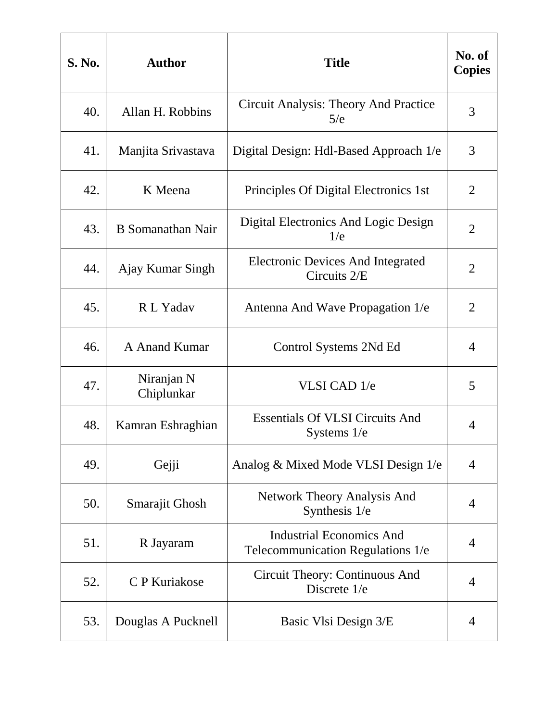| <b>S. No.</b> | <b>Author</b>            | <b>Title</b>                                                         | No. of<br><b>Copies</b> |
|---------------|--------------------------|----------------------------------------------------------------------|-------------------------|
| 40.           | Allan H. Robbins         | Circuit Analysis: Theory And Practice<br>5/e                         | 3                       |
| 41.           | Manjita Srivastava       | Digital Design: Hdl-Based Approach 1/e                               | 3                       |
| 42.           | K Meena                  | Principles Of Digital Electronics 1st                                | $\overline{2}$          |
| 43.           | <b>B</b> Somanathan Nair | Digital Electronics And Logic Design<br>1/e                          | $\overline{2}$          |
| 44.           | Ajay Kumar Singh         | <b>Electronic Devices And Integrated</b><br>Circuits 2/E             | $\overline{2}$          |
| 45.           | R L Yadav                | Antenna And Wave Propagation 1/e                                     | $\overline{2}$          |
| 46.           | A Anand Kumar            | Control Systems 2Nd Ed                                               | 4                       |
| 47.           | Niranjan N<br>Chiplunkar | VLSI CAD 1/e                                                         | 5                       |
| 48.           | Kamran Eshraghian        | <b>Essentials Of VLSI Circuits And</b><br>Systems $1/e$              | 4                       |
| 49.           | Gejji                    | Analog & Mixed Mode VLSI Design 1/e                                  | $\overline{4}$          |
| 50.           | Smarajit Ghosh           | <b>Network Theory Analysis And</b><br>Synthesis 1/e                  | $\overline{4}$          |
| 51.           | R Jayaram                | <b>Industrial Economics And</b><br>Telecommunication Regulations 1/e | 4                       |
| 52.           | C P Kuriakose            | Circuit Theory: Continuous And<br>Discrete 1/e                       | 4                       |
| 53.           | Douglas A Pucknell       | Basic Vlsi Design 3/E                                                | 4                       |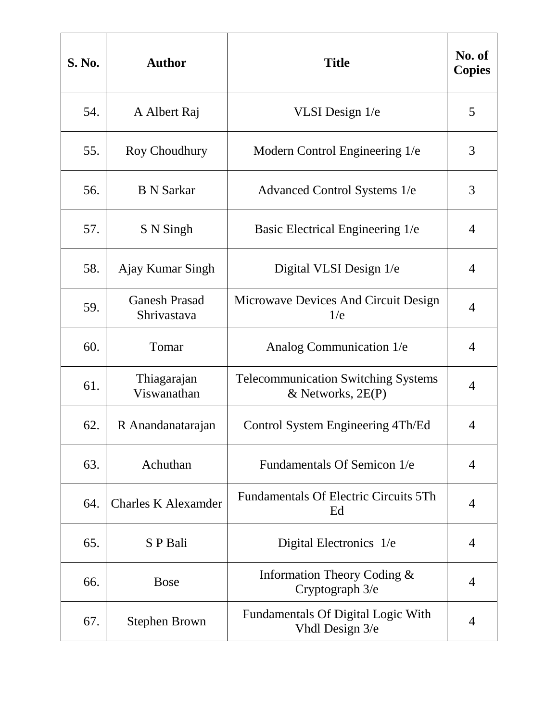| <b>S. No.</b> | <b>Author</b>                       | <b>Title</b>                                                      | No. of<br><b>Copies</b> |
|---------------|-------------------------------------|-------------------------------------------------------------------|-------------------------|
| 54.           | A Albert Raj                        | VLSI Design 1/e                                                   | 5                       |
| 55.           | Roy Choudhury                       | Modern Control Engineering 1/e                                    | 3                       |
| 56.           | <b>B</b> N Sarkar                   | Advanced Control Systems 1/e                                      | 3                       |
| 57.           | S N Singh                           | Basic Electrical Engineering 1/e                                  | 4                       |
| 58.           | Ajay Kumar Singh                    | Digital VLSI Design 1/e                                           | $\overline{4}$          |
| 59.           | <b>Ganesh Prasad</b><br>Shrivastava | Microwave Devices And Circuit Design<br>1/e                       | 4                       |
| 60.           | Tomar                               | Analog Communication 1/e                                          | 4                       |
| 61.           | Thiagarajan<br>Viswanathan          | <b>Telecommunication Switching Systems</b><br>& Networks, $2E(P)$ | $\overline{4}$          |
| 62.           | R Anandanatarajan                   | Control System Engineering 4Th/Ed                                 | 4                       |
| 63.           | Achuthan                            | Fundamentals Of Semicon 1/e                                       | $\overline{4}$          |
| 64.           | <b>Charles K Alexamder</b>          | <b>Fundamentals Of Electric Circuits 5Th</b><br>Ed                | $\overline{4}$          |
| 65.           | S P Bali                            | Digital Electronics 1/e                                           | 4                       |
| 66.           | <b>Bose</b>                         | Information Theory Coding &<br>Cryptograph 3/e                    | 4                       |
| 67.           | <b>Stephen Brown</b>                | <b>Fundamentals Of Digital Logic With</b><br>Vhdl Design 3/e      | 4                       |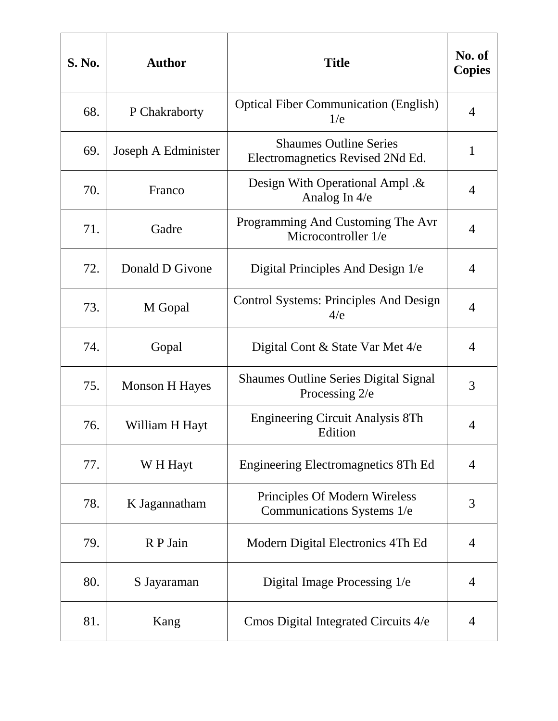| <b>S. No.</b> | <b>Author</b>         | <b>Title</b>                                                      | No. of<br><b>Copies</b> |
|---------------|-----------------------|-------------------------------------------------------------------|-------------------------|
| 68.           | P Chakraborty         | <b>Optical Fiber Communication (English)</b><br>1/e               | 4                       |
| 69.           | Joseph A Edminister   | <b>Shaumes Outline Series</b><br>Electromagnetics Revised 2Nd Ed. | 1                       |
| 70.           | Franco                | Design With Operational Ampl. &<br>Analog In 4/e                  | 4                       |
| 71.           | Gadre                 | Programming And Customing The Avr<br>Microcontroller 1/e          | 4                       |
| 72.           | Donald D Givone       | Digital Principles And Design 1/e                                 | 4                       |
| 73.           | M Gopal               | <b>Control Systems: Principles And Design</b><br>4/e              | 4                       |
| 74.           | Gopal                 | Digital Cont & State Var Met 4/e                                  | 4                       |
| 75.           | <b>Monson H Hayes</b> | <b>Shaumes Outline Series Digital Signal</b><br>Processing 2/e    | 3                       |
| 76.           | William H Hayt        | <b>Engineering Circuit Analysis 8Th</b><br>Edition                | 4                       |
| 77.           | W H Hayt              | Engineering Electromagnetics 8Th Ed                               | $\overline{4}$          |
| 78.           | K Jagannatham         | Principles Of Modern Wireless<br>Communications Systems 1/e       | 3                       |
| 79.           | R P Jain              | Modern Digital Electronics 4Th Ed                                 | 4                       |
| 80.           | S Jayaraman           | Digital Image Processing 1/e                                      | 4                       |
| 81.           | Kang                  | Cmos Digital Integrated Circuits 4/e                              | 4                       |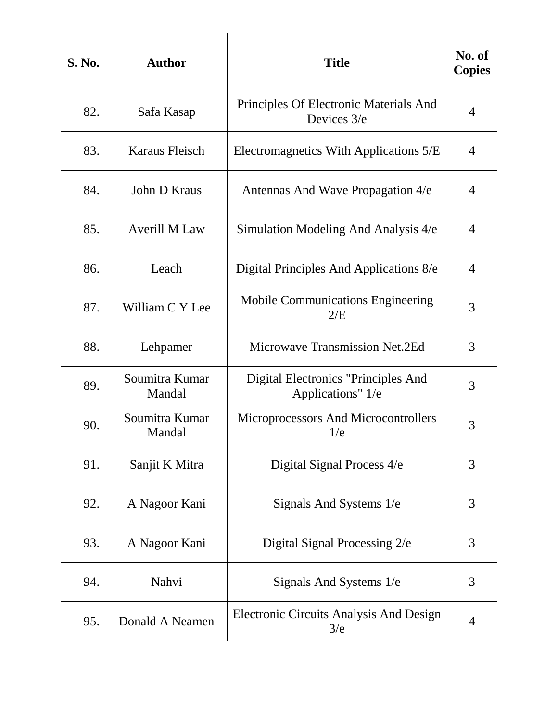| S. No. | <b>Author</b>            | <b>Title</b>                                             | No. of<br><b>Copies</b> |
|--------|--------------------------|----------------------------------------------------------|-------------------------|
| 82.    | Safa Kasap               | Principles Of Electronic Materials And<br>Devices 3/e    | 4                       |
| 83.    | Karaus Fleisch           | Electromagnetics With Applications 5/E                   | 4                       |
| 84.    | John D Kraus             | Antennas And Wave Propagation 4/e                        | 4                       |
| 85.    | <b>Averill M Law</b>     | Simulation Modeling And Analysis 4/e                     | 4                       |
| 86.    | Leach                    | Digital Principles And Applications 8/e                  | $\overline{4}$          |
| 87.    | William C Y Lee          | <b>Mobile Communications Engineering</b><br>2/E          | 3                       |
| 88.    | Lehpamer                 | <b>Microwave Transmission Net.2Ed</b>                    | 3                       |
| 89.    | Soumitra Kumar<br>Mandal | Digital Electronics "Principles And<br>Applications" 1/e | 3                       |
| 90.    | Soumitra Kumar<br>Mandal | Microprocessors And Microcontrollers<br>1/e              | 3                       |
| 91.    | Sanjit K Mitra           | Digital Signal Process 4/e                               | 3                       |
| 92.    | A Nagoor Kani            | Signals And Systems 1/e                                  | 3                       |
| 93.    | A Nagoor Kani            | Digital Signal Processing 2/e                            | 3                       |
| 94.    | Nahvi                    | Signals And Systems 1/e                                  | 3                       |
| 95.    | Donald A Neamen          | Electronic Circuits Analysis And Design<br>3/e           | 4                       |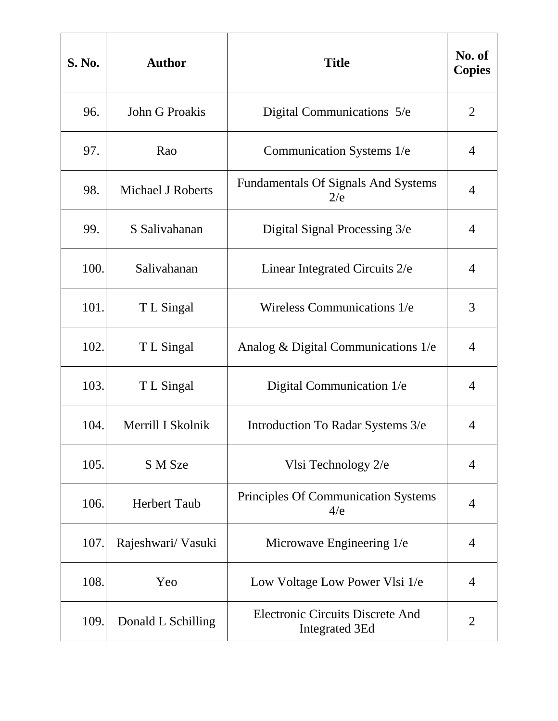| <b>S. No.</b> | <b>Author</b>            | <b>Title</b>                                                     | No. of<br><b>Copies</b> |
|---------------|--------------------------|------------------------------------------------------------------|-------------------------|
| 96.           | John G Proakis           | Digital Communications 5/e                                       | $\overline{2}$          |
| 97.           | Rao                      | Communication Systems 1/e                                        | 4                       |
| 98.           | <b>Michael J Roberts</b> | <b>Fundamentals Of Signals And Systems</b><br>2/e                | $\overline{4}$          |
| 99.           | S Salivahanan            | Digital Signal Processing 3/e                                    | 4                       |
| 100.          | Salivahanan              | Linear Integrated Circuits 2/e                                   | $\overline{4}$          |
| 101.          | T L Singal               | Wireless Communications 1/e                                      | 3                       |
| 102.          | T L Singal               | Analog & Digital Communications $1/e$                            | $\overline{4}$          |
| 103.          | T L Singal               | Digital Communication 1/e                                        | 4                       |
| 104.          | Merrill I Skolnik        | Introduction To Radar Systems 3/e                                | 4                       |
| 105.          | S M Sze                  | Vlsi Technology 2/e                                              | $\overline{4}$          |
| 106.          | <b>Herbert Taub</b>      | Principles Of Communication Systems<br>4/e                       | 4                       |
| 107.          | Rajeshwari/ Vasuki       | Microwave Engineering 1/e                                        | 4                       |
| 108.          | Yeo                      | Low Voltage Low Power Vlsi 1/e                                   | 4                       |
| 109.          | Donald L Schilling       | <b>Electronic Circuits Discrete And</b><br><b>Integrated 3Ed</b> | $\overline{2}$          |